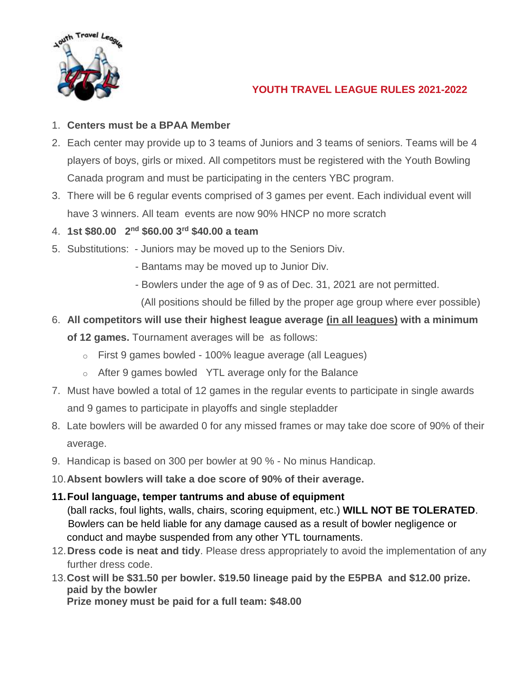

# **YOUTH TRAVEL LEAGUE RULES 2021-2022**

## 1. **Centers must be a BPAA Member**

- 2. Each center may provide up to 3 teams of Juniors and 3 teams of seniors. Teams will be 4 players of boys, girls or mixed. All competitors must be registered with the Youth Bowling Canada program and must be participating in the centers YBC program.
- 3. There will be 6 regular events comprised of 3 games per event. Each individual event will have 3 winners. All team events are now 90% HNCP no more scratch
- 4. **1st \$80.00 2nd \$60.00 3rd \$40.00 a team**
- 5. Substitutions: Juniors may be moved up to the Seniors Div.
	- Bantams may be moved up to Junior Div.
	- Bowlers under the age of 9 as of Dec. 31, 2021 are not permitted.
		- (All positions should be filled by the proper age group where ever possible)

# 6. **All competitors will use their highest league average (in all leagues) with a minimum**

**of 12 games.** Tournament averages will be as follows:

- o First 9 games bowled 100% league average (all Leagues)
- o After 9 games bowled YTL average only for the Balance
- 7. Must have bowled a total of 12 games in the regular events to participate in single awards and 9 games to participate in playoffs and single stepladder
- 8. Late bowlers will be awarded 0 for any missed frames or may take doe score of 90% of their average.
- 9. Handicap is based on 300 per bowler at 90 % No minus Handicap.
- 10.**Absent bowlers will take a doe score of 90% of their average.**

## **11.Foul language, temper tantrums and abuse of equipment**

(ball racks, foul lights, walls, chairs, scoring equipment, etc.) **WILL NOT BE TOLERATED**. Bowlers can be held liable for any damage caused as a result of bowler negligence or conduct and maybe suspended from any other YTL tournaments.

- 12.**Dress code is neat and tidy**. Please dress appropriately to avoid the implementation of any further dress code.
- 13.**Cost will be \$31.50 per bowler. \$19.50 lineage paid by the E5PBA and \$12.00 prize. paid by the bowler**

**Prize money must be paid for a full team: \$48.00**